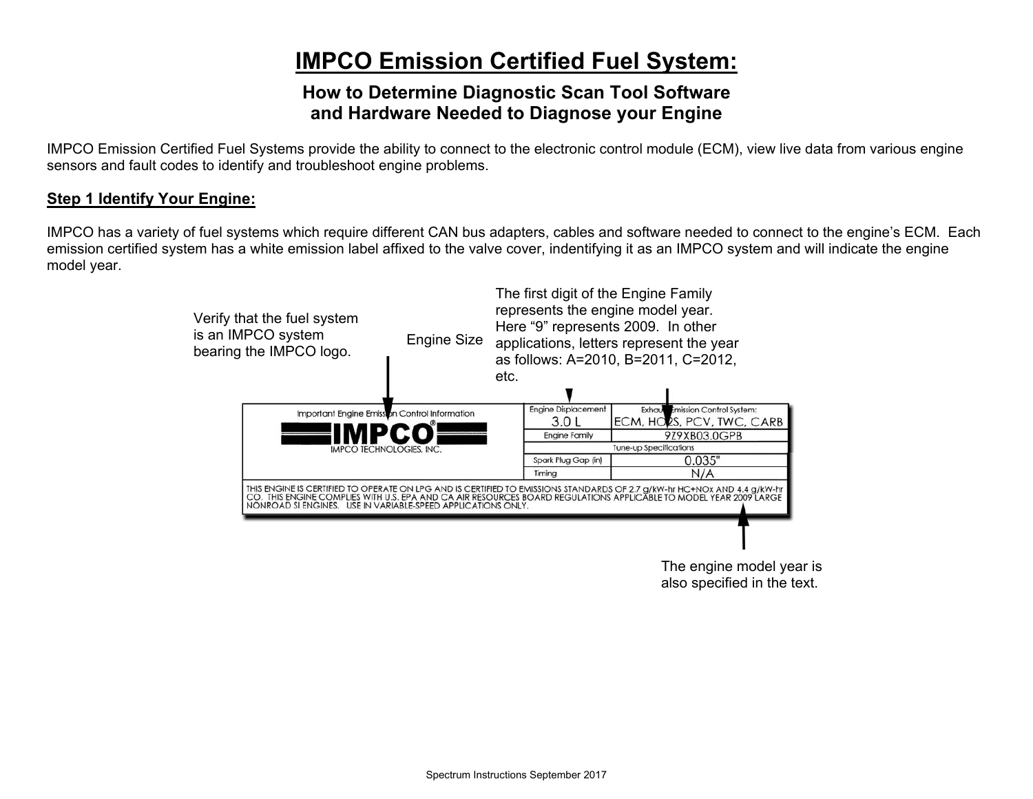# **IMPCO Emission Certified Fuel System:**

## **How to Determine Diagnostic Scan Tool Software and Hardware Needed to Diagnose your Engine**

IMPCO Emission Certified Fuel Systems provide the ability to connect to the electronic control module (ECM), view live data from various engine sensors and fault codes to identify and troubleshoot engine problems.

## **Step 1 Identify Your Engine:**

IMPCO has a variety of fuel systems which require different CAN bus adapters, cables and software needed to connect to the engine's ECM. Each emission certified system has a white emission label affixed to the valve cover, indentifying it as an IMPCO system and will indicate the engine model year.



The engine model year is also specified in the text.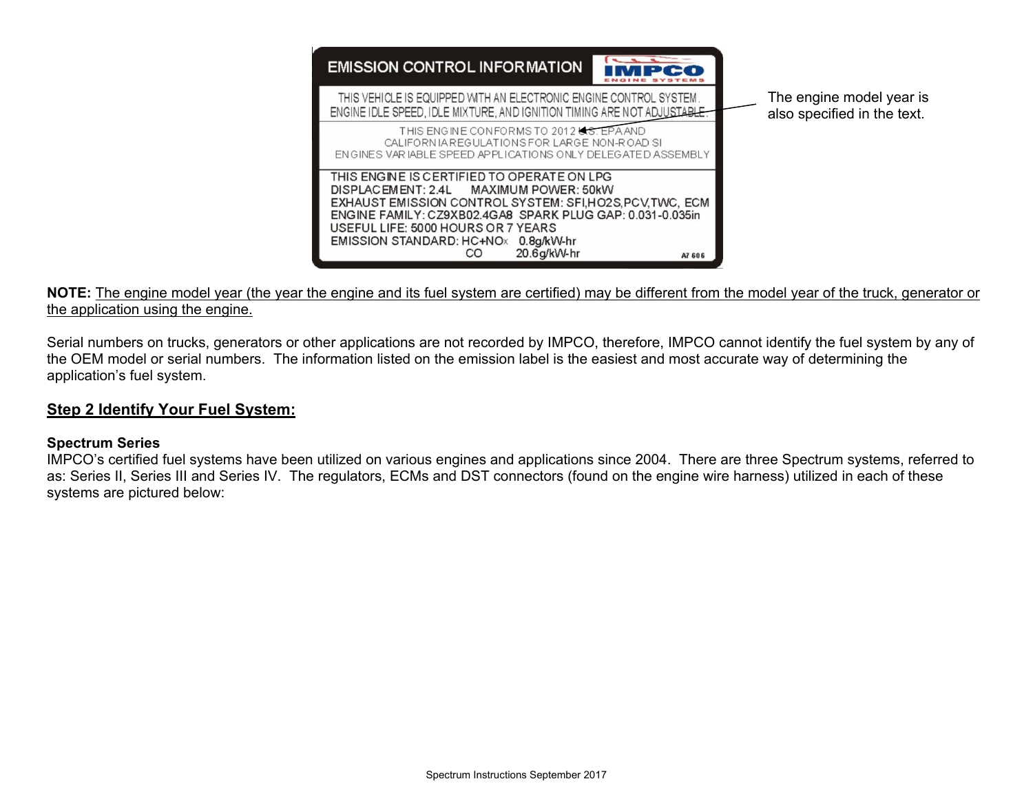

#### **NOTE:** The engine model year (the year the engine and its fuel system are certified) may be different from the model year of the truck, generator or the application using the engine.

Serial numbers on trucks, generators or other applications are not recorded by IMPCO, therefore, IMPCO cannot identify the fuel system by any of the OEM model or serial numbers. The information listed on the emission label is the easiest and most accurate way of determining the application's fuel system.

## **Step 2 Identify Your Fuel System:**

#### **Spectrum Series**

IMPCO's certified fuel systems have been utilized on various engines and applications since 2004. There are three Spectrum systems, referred to as: Series II, Series III and Series IV. The regulators, ECMs and DST connectors (found on the engine wire harness) utilized in each of these systems are pictured below: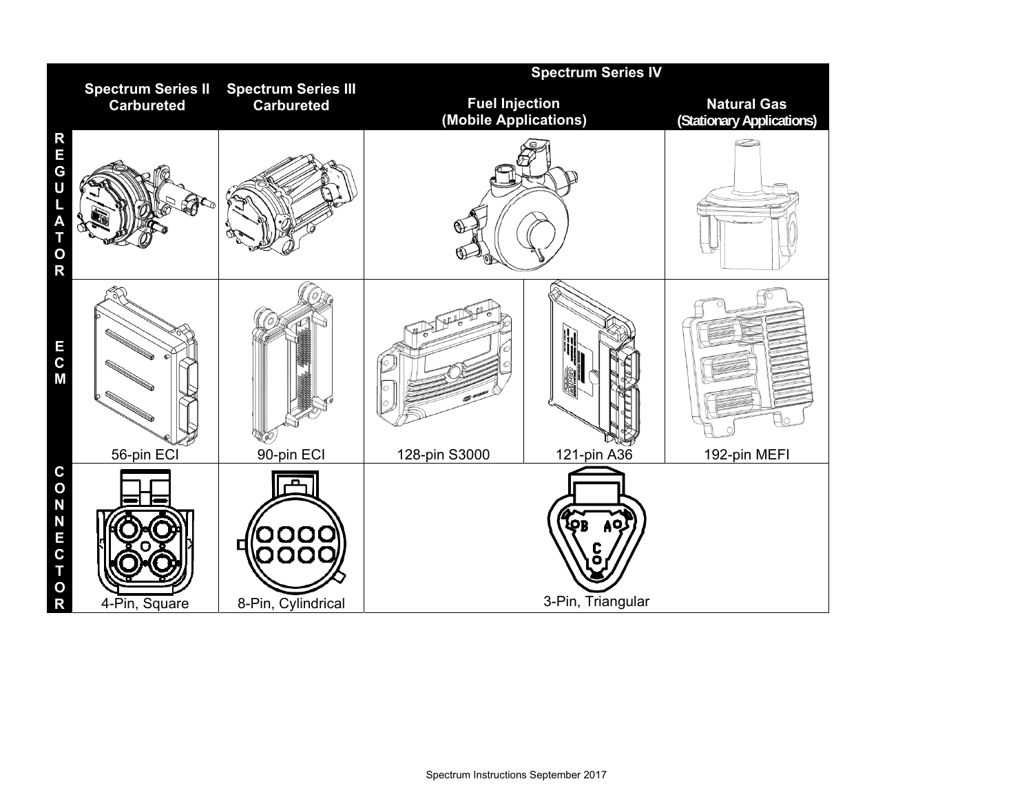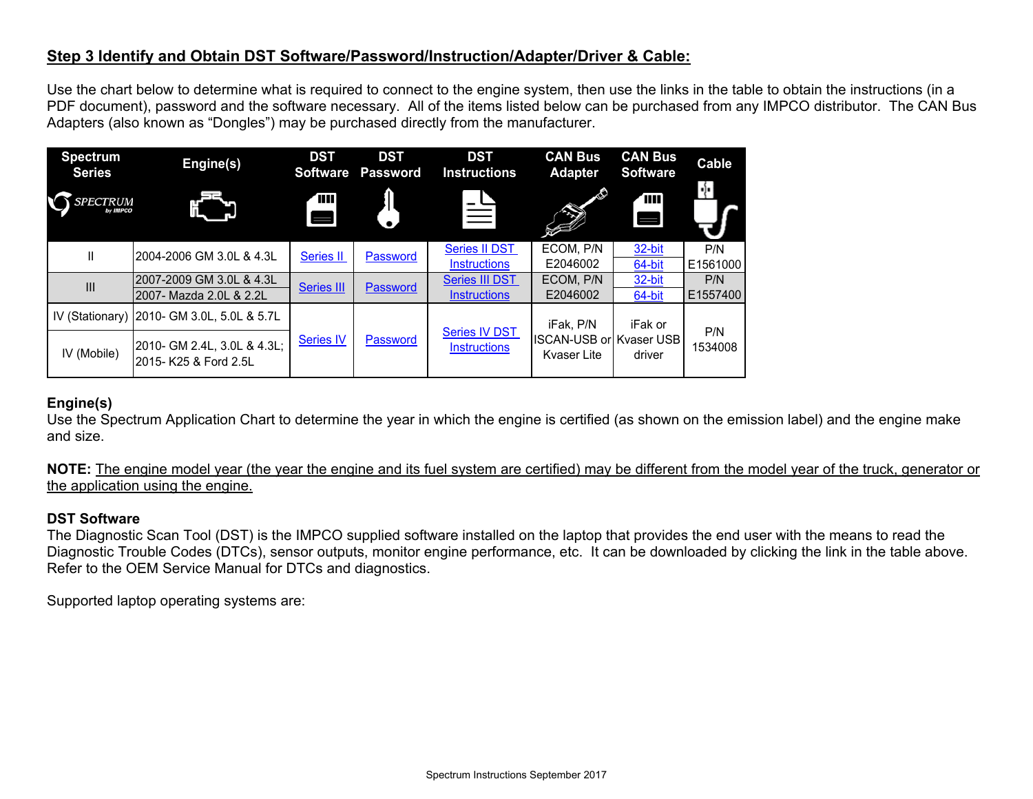## **Step 3 Identify and Obtain DST Software/Password/Instruction/Adapter/Driver & Cable:**

Use the chart below to determine what is required to connect to the engine system, then use the links in the table to obtain the instructions (in a PDF document), password and the software necessary. All of the items listed below can be purchased from any IMPCO distributor. The CAN Bus Adapters (also known as "Dongles") may be purchased directly from the manufacturer.

| <b>Spectrum</b><br><b>Series</b> | Engine(s)                                            | <b>DST</b><br><b>Software</b> | <b>DST</b><br><b>Password</b> | <b>DST</b><br><b>Instructions</b>           | <b>CAN Bus</b><br><b>Adapter</b>                                  | <b>CAN Bus</b><br><b>Software</b> | Cable           |
|----------------------------------|------------------------------------------------------|-------------------------------|-------------------------------|---------------------------------------------|-------------------------------------------------------------------|-----------------------------------|-----------------|
| <b>SPECTRUM</b><br>by IMPCO      |                                                      | T                             |                               |                                             | $\mathcal{L}$                                                     | Ē<br>$\blacksquare$               | ا را            |
| Ш                                | 2004-2006 GM 3.0L & 4.3L                             | <b>Series II</b>              | Password                      | <b>Series II DST</b><br><b>Instructions</b> | ECOM, P/N<br>E2046002                                             | 32-bit<br>64-bit                  | P/N<br>E1561000 |
| III                              | 2007-2009 GM 3.0L & 4.3L<br>2007- Mazda 2.0L & 2.2L  | <b>Series III</b>             | Password                      | Series III DST<br><b>Instructions</b>       | ECOM, P/N<br>E2046002                                             | 32-bit<br>64-bit                  | P/N<br>E1557400 |
|                                  | IV (Stationary) 2010- GM 3.0L, 5.0L & 5.7L           | <b>Series IV</b>              | Password                      | <b>Series IV DST</b><br><b>Instructions</b> | iFak. P/N<br><b>ISCAN-USB or Kvaser USB</b><br><b>Kvaser Lite</b> | iFak or<br>driver                 | P/N<br>1534008  |
| IV (Mobile)                      | 2010- GM 2.4L, 3.0L & 4.3L;<br>2015- K25 & Ford 2.5L |                               |                               |                                             |                                                                   |                                   |                 |

### **Engine(s)**

Use the Spectrum Application Chart to determine the year in which the engine is certified (as shown on the emission label) and the engine make and size.

**NOTE:** The engine model year (the year the engine and its fuel system are certified) may be different from the model year of the truck, generator or the application using the engine.

#### **DST Software**

The Diagnostic Scan Tool (DST) is the IMPCO supplied software installed on the laptop that provides the end user with the means to read the Diagnostic Trouble Codes (DTCs), sensor outputs, monitor engine performance, etc. It can be downloaded by clicking the link in the table above. Refer to the OEM Service Manual for DTCs and diagnostics.

Supported laptop operating systems are: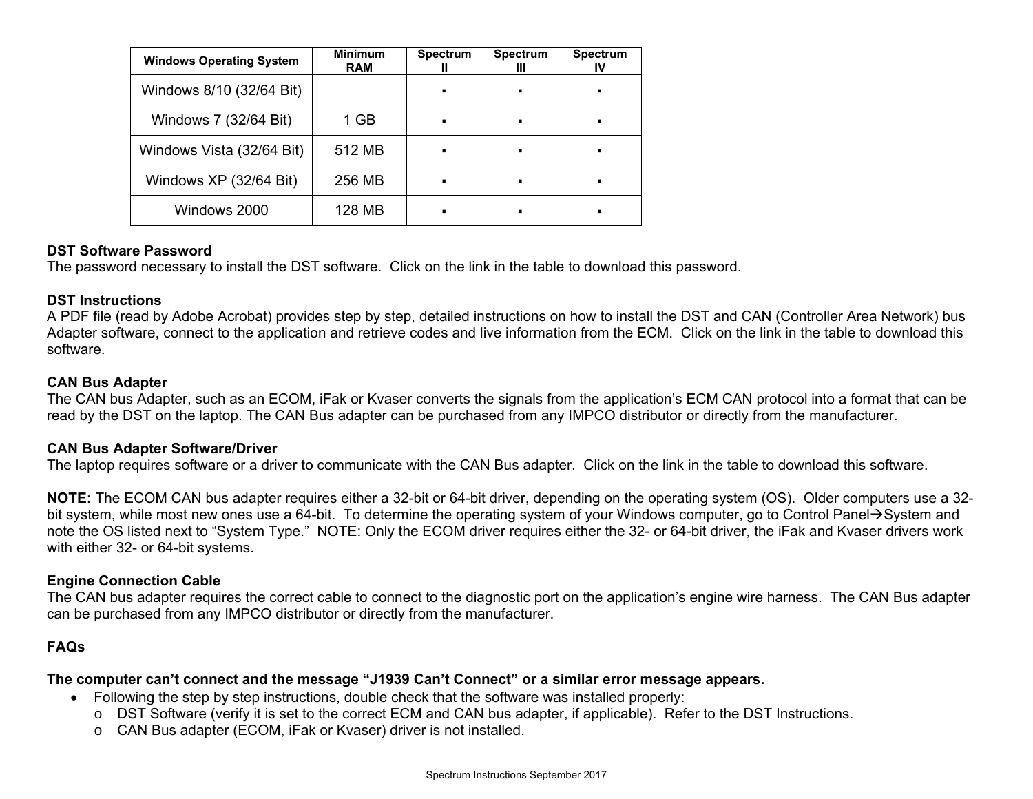| <b>Windows Operating System</b> | <b>Minimum</b><br><b>RAM</b> | <b>Spectrum</b> | <b>Spectrum</b><br>Ш | <b>Spectrum</b><br>IV |
|---------------------------------|------------------------------|-----------------|----------------------|-----------------------|
| Windows 8/10 (32/64 Bit)        |                              |                 |                      |                       |
| Windows 7 (32/64 Bit)           | 1 GB                         |                 |                      |                       |
| Windows Vista (32/64 Bit)       | 512 MB                       |                 |                      |                       |
| Windows XP (32/64 Bit)          | 256 MB                       |                 |                      |                       |
| Windows 2000                    | 128 MB                       |                 |                      |                       |

#### **DST Software Password**

The password necessary to install the DST software. Click on the link in the table to download this password.

#### **DST Instructions**

A PDF file (read by Adobe Acrobat) provides step by step, detailed instructions on how to install the DST and CAN (Controller Area Network) bus Adapter software, connect to the application and retrieve codes and live information from the ECM. Click on the link in the table to download this software.

#### **CAN Bus Adapter**

The CAN bus Adapter, such as an ECOM, iFak or Kvaser converts the signals from the application's ECM CAN protocol into a format that can be read by the DST on the laptop. The CAN Bus adapter can be purchased from any IMPCO distributor or directly from the manufacturer.

#### **CAN Bus Adapter Software/Driver**

The laptop requires software or a driver to communicate with the CAN Bus adapter. Click on the link in the table to download this software.

**NOTE:** The ECOM CAN bus adapter requires either a 32-bit or 64-bit driver, depending on the operating system (OS). Older computers use a 32 bit system, while most new ones use a 64-bit. To determine the operating system of your Windows computer, go to Control Panel $\rightarrow$ System and note the OS listed next to "System Type." NOTE: Only the ECOM driver requires either the 32- or 64-bit driver, the iFak and Kvaser drivers work with either 32- or 64-bit systems.

#### **Engine Connection Cable**

The CAN bus adapter requires the correct cable to connect to the diagnostic port on the application's engine wire harness. The CAN Bus adapter can be purchased from any IMPCO distributor or directly from the manufacturer.

## **FAQs**

#### **The computer can't connect and the message "J1939 Can't Connect" or a similar error message appears.**

- Following the step by step instructions, double check that the software was installed properly:
	- <sup>o</sup> DST Software (verify it is set to the correct ECM and CAN bus adapter, if applicable). Refer to the DST Instructions.
	- o CAN Bus adapter (ECOM, iFak or Kvaser) driver is not installed.